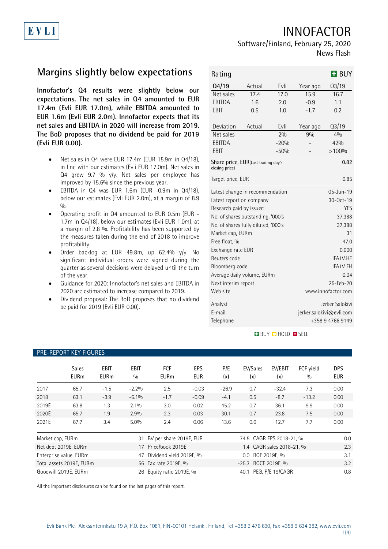INNOFACTOR



## Software/Finland, February 25, 2020 News Flash

# **Margins slightly below expectations**

**Innofactor's Q4 results were slightly below our expectations. The net sales in Q4 amounted to EUR 17.4m (Evli EUR 17.0m), while EBITDA amounted to EUR 1.6m (Evli EUR 2.0m). Innofactor expects that its net sales and EBITDA in 2020 will increase from 2019. The BoD proposes that no dividend be paid for 2019 (Evli EUR 0.00).**

- Net sales in Q4 were EUR 17.4m (EUR 15.9m in Q4/18), in line with our estimates (Evli EUR 17.0m). Net sales in Q4 grew 9.7 % y/y. Net sales per employee has improved by 15.6% since the previous year.
- EBITDA in Q4 was EUR 1.6m (EUR -0.9m in Q4/18), below our estimates (Evli EUR 2.0m), at a margin of 8.9  $0/n$
- Operating profit in Q4 amounted to EUR 0.5m (EUR 1.7m in Q4/18), below our estimates (Evli EUR 1.0m), at a margin of 2.8 %. Profitability has been supported by the measures taken during the end of 2018 to improve profitability.
- Order backlog at EUR 49.8m, up 62.4% y/y. No significant individual orders were signed during the quarter as several decisions were delayed until the turn of the year.
- Guidance for 2020: Innofactor's net sales and EBITDA in 2020 are estimated to increase compared to 2019.
- Dividend proposal: The BoD proposes that no dividend be paid for 2019 (Evli EUR 0.00).

| Rating                                                        |                                   |            |                          | $H$ BUY            |  |  |
|---------------------------------------------------------------|-----------------------------------|------------|--------------------------|--------------------|--|--|
| Q4/19                                                         | Actual                            | Evli       | Year ago                 | Q3/19              |  |  |
| Net sales                                                     | 17.4                              | 17.0       | 15.9                     | 16.7               |  |  |
| EBITDA                                                        | 1.6                               | 2.0        | $-0.9$                   | 1.1                |  |  |
| EBIT                                                          | 0.5                               | 1.0        | $-1.7$                   | 0.2                |  |  |
| Deviation                                                     | Actual                            | Evli       | Year ago                 | $Q_3/19$           |  |  |
| Net sales                                                     |                                   | 2%         | 9%                       | 40/0               |  |  |
| EBITDA                                                        |                                   | $-20%$     |                          | 42%                |  |  |
| EBIT                                                          |                                   | $-50%$     |                          | >100%              |  |  |
| Share price, EUR(Last trading day's<br>0.82<br>closing price) |                                   |            |                          |                    |  |  |
| Target price, EUR                                             |                                   | 0.85       |                          |                    |  |  |
| Latest change in recommendation                               |                                   |            | 05-Jun-19                |                    |  |  |
| Latest report on company                                      |                                   |            | 30-Oct-19                |                    |  |  |
| Research paid by issuer:                                      |                                   | <b>YES</b> |                          |                    |  |  |
|                                                               | No. of shares outstanding, '000's | 37,388     |                          |                    |  |  |
| No. of shares fully diluted, '000's                           |                                   |            | 37,388                   |                    |  |  |
| Market cap, EURm                                              |                                   |            | 31                       |                    |  |  |
| Free float, %                                                 |                                   |            | 47.0                     |                    |  |  |
| Exchange rate EUR                                             |                                   |            | 0.000                    |                    |  |  |
| Reuters code                                                  |                                   |            | IFA1V.HE                 |                    |  |  |
| Bloomberg code                                                |                                   |            | <b>IFA1V FH</b>          |                    |  |  |
| Average daily volume, EURm                                    |                                   |            | 0.04                     |                    |  |  |
| Next interim report                                           |                                   |            | 25-Feb-20                |                    |  |  |
| Web site                                                      |                                   |            |                          | www.innofactor.com |  |  |
| Analyst                                                       |                                   |            |                          | Jerker Salokivi    |  |  |
| F-mail                                                        |                                   |            | jerker.salokivi@evli.com |                    |  |  |
| Telephone                                                     |                                   |            |                          | +358 9 4766 9149   |  |  |

### **BUY CHOLD CSELL**

| PRE-REPURT KET FIGURES |                             |                     |             |                           |                   |                          |                     |                           |                  |                          |
|------------------------|-----------------------------|---------------------|-------------|---------------------------|-------------------|--------------------------|---------------------|---------------------------|------------------|--------------------------|
|                        | <b>Sales</b><br><b>EURm</b> | EBIT<br><b>EURm</b> | EBIT<br>0/0 | <b>FCF</b><br><b>EURm</b> | EPS<br><b>EUR</b> | P/E<br>(x)               | EV/Sales<br>(x)     | EV/EBIT<br>(x)            | FCF yield<br>0/0 | <b>DPS</b><br><b>EUR</b> |
| 2017                   | 65.7                        | $-1.5$              | $-2.2%$     | 2.5                       | $-0.03$           | $-26.9$                  | 0.7                 | $-32.4$                   | 7.3              | 0.00                     |
| 2018                   | 63.1                        | $-3.9$              | $-6.1%$     | $-1.7$                    | $-0.09$           | $-4.1$                   | 0.5                 | $-8.7$                    | $-13.2$          | 0.00                     |
| 2019E                  | 63.8                        | 1.3                 | 2.1%        | 3.0                       | 0.02              | 45.2                     | 0.7                 | 36.1                      | 9.9              | 0.00                     |
| 2020E                  | 65.7                        | 1.9                 | 2.9%        | 2.3                       | 0.03              | 30.1                     | 0.7                 | 23.8                      | 7.5              | 0.00                     |
| 2021E                  | 67.7                        | 3.4                 | $5.0\%$     | 2.4                       | 0.06              | 13.6                     | 0.6                 | 12.7                      | 7.7              | 0.00                     |
| Market cap, EURm       |                             |                     | 31          | BV per share 2019E, EUR   |                   | 74.5 CAGR EPS 2018-21, % |                     |                           | 0.0              |                          |
|                        | Net debt 2019E, EURm        |                     | 17          | Price/book 2019E          |                   |                          |                     | 1.4 CAGR sales 2018-21, % |                  | 2.3                      |
|                        | Enterprise value, EURm      |                     | 47          | Dividend yield 2019E, %   |                   |                          | 0.0 ROE 2019E, %    |                           |                  | 3.1                      |
|                        | Total assets 2019E, EURm    |                     |             | 56 Tax rate 2019E, %      |                   |                          | -25.3 ROCE 2019E, % |                           |                  | 3.2                      |
|                        | Goodwill 2019E, EURm        |                     | 26          | Equity ratio 2019E, %     |                   |                          | 40.1                | PEG, P/E 19/CAGR          |                  | 0.8                      |

All the important disclosures can be found on the last pages of this report.

## PRE-REPORT KEY FIGURES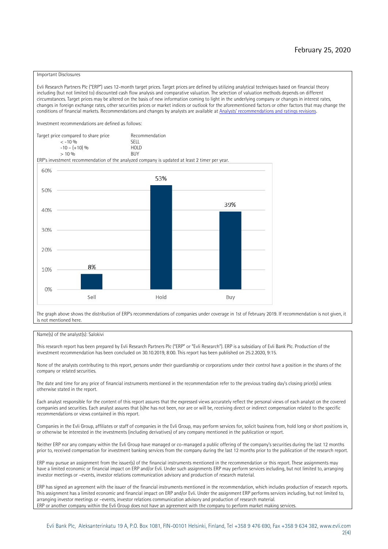#### Important Disclosures

Evli Research Partners Plc ("ERP") uses 12-month target prices. Target prices are defined by utilizing analytical techniques based on financial theory including (but not limited to) discounted cash flow analysis and comparative valuation. The selection of valuation methods depends on different circumstances. Target prices may be altered on the basis of new information coming to light in the underlying company or changes in interest rates, changes in foreign exchange rates, other securities prices or market indices or outlook for the aforementioned factors or other factors that may change the conditions of financial markets. Recommendations and changes by analysts are available at [Analysts' recommendations and ratings revisions](https://research.evli.com/JasperAllModels.action?authParam=key;461&authParam=x;G3rNagWrtf7K&authType=3). Investment recommendations are defined as follows: Target price compared to share price Recommendation<br> $\epsilon$  -10 %  $\langle 5, 10, 10 \rangle$  SELL<br>  $\langle -10, 6, 10 \rangle$  SELL<br>  $\langle 10, 10, 10 \rangle$  $-10 - (+10) \%$  HOLD<br>> 10 % BUY  $> 10\%$ ERP's investment recommendation of the analyzed company is updated at least 2 timer per year. 60% 53% 50% 39% 40% 30%  $20%$ 8% 10% 0% Sell Hold Buy

The graph above shows the distribution of ERP's recommendations of companies under coverage in 1st of February 2019. If recommendation is not given, it is not mentioned here.

#### Name(s) of the analyst(s): Salokivi

This research report has been prepared by Evli Research Partners Plc ("ERP" or "Evli Research"). ERP is a subsidiary of Evli Bank Plc. Production of the investment recommendation has been concluded on 30.10.2019, 8:00. This report has been published on 25.2.2020, 9:15.

None of the analysts contributing to this report, persons under their guardianship or corporations under their control have a position in the shares of the company or related securities.

The date and time for any price of financial instruments mentioned in the recommendation refer to the previous trading day's closing price(s) unless otherwise stated in the report.

Each analyst responsible for the content of this report assures that the expressed views accurately reflect the personal views of each analyst on the covered companies and securities. Each analyst assures that (s)he has not been, nor are or will be, receiving direct or indirect compensation related to the specific recommendations or views contained in this report.

Companies in the Evli Group, affiliates or staff of companies in the Evli Group, may perform services for, solicit business from, hold long or short positions in, or otherwise be interested in the investments (including derivatives) of any company mentioned in the publication or report.

Neither ERP nor any company within the Evli Group have managed or co-managed a public offering of the company's securities during the last 12 months prior to, received compensation for investment banking services from the company during the last 12 months prior to the publication of the research report.

ERP may pursue an assignment from the issuer(s) of the financial instruments mentioned in the recommendation or this report. These assignments may have a limited economic or financial impact on ERP and/or Evli. Under such assignments ERP may perform services including, but not limited to, arranging investor meetings or –events, investor relations communication advisory and production of research material.

ERP has signed an agreement with the issuer of the financial instruments mentioned in the recommendation, which includes production of research reports. This assignment has a limited economic and financial impact on ERP and/or Evli. Under the assignment ERP performs services including, but not limited to, arranging investor meetings or –events, investor relations communication advisory and production of research material. ERP or another company within the Evli Group does not have an agreement with the company to perform market making services.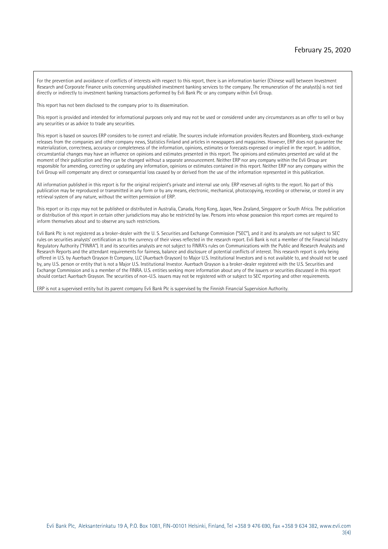For the prevention and avoidance of conflicts of interests with respect to this report, there is an information barrier (Chinese wall) between Investment Research and Corporate Finance units concerning unpublished investment banking services to the company. The remuneration of the analyst(s) is not tied directly or indirectly to investment banking transactions performed by Evli Bank Plc or any company within Evli Group.

This report has not been disclosed to the company prior to its dissemination.

This report is provided and intended for informational purposes only and may not be used or considered under any circumstances as an offer to sell or buy any securities or as advice to trade any securities.

This report is based on sources ERP considers to be correct and reliable. The sources include information providers Reuters and Bloomberg, stock-exchange releases from the companies and other company news, Statistics Finland and articles in newspapers and magazines. However, ERP does not guarantee the materialization, correctness, accuracy or completeness of the information, opinions, estimates or forecasts expressed or implied in the report. In addition, circumstantial changes may have an influence on opinions and estimates presented in this report. The opinions and estimates presented are valid at the moment of their publication and they can be changed without a separate announcement. Neither ERP nor any company within the Evli Group are responsible for amending, correcting or updating any information, opinions or estimates contained in this report. Neither ERP nor any company within the Evli Group will compensate any direct or consequential loss caused by or derived from the use of the information represented in this publication.

All information published in this report is for the original recipient's private and internal use only. ERP reserves all rights to the report. No part of this publication may be reproduced or transmitted in any form or by any means, electronic, mechanical, photocopying, recording or otherwise, or stored in any retrieval system of any nature, without the written permission of ERP.

This report or its copy may not be published or distributed in Australia, Canada, Hong Kong, Japan, New Zealand, Singapore or South Africa. The publication or distribution of this report in certain other jurisdictions may also be restricted by law. Persons into whose possession this report comes are required to inform themselves about and to observe any such restrictions.

Evli Bank Plc is not registered as a broker-dealer with the U. S. Securities and Exchange Commission ("SEC"), and it and its analysts are not subject to SEC rules on securities analysts' certification as to the currency of their views reflected in the research report. Evli Bank is not a member of the Financial Industry Regulatory Authority ("FINRA"). It and its securities analysts are not subject to FINRA's rules on Communications with the Public and Research Analysts and Research Reports and the attendant requirements for fairness, balance and disclosure of potential conflicts of interest. This research report is only being offered in U.S. by Auerbach Grayson & Company, LLC (Auerbach Grayson) to Major U.S. Institutional Investors and is not available to, and should not be used by, any U.S. person or entity that is not a Major U.S. Institutional Investor. Auerbach Grayson is a broker-dealer registered with the U.S. Securities and Exchange Commission and is a member of the FINRA. U.S. entities seeking more information about any of the issuers or securities discussed in this report should contact Auerbach Grayson. The securities of non-U.S. issuers may not be registered with or subject to SEC reporting and other requirements.

ERP is not a supervised entity but its parent company Evli Bank Plc is supervised by the Finnish Financial Supervision Authority.